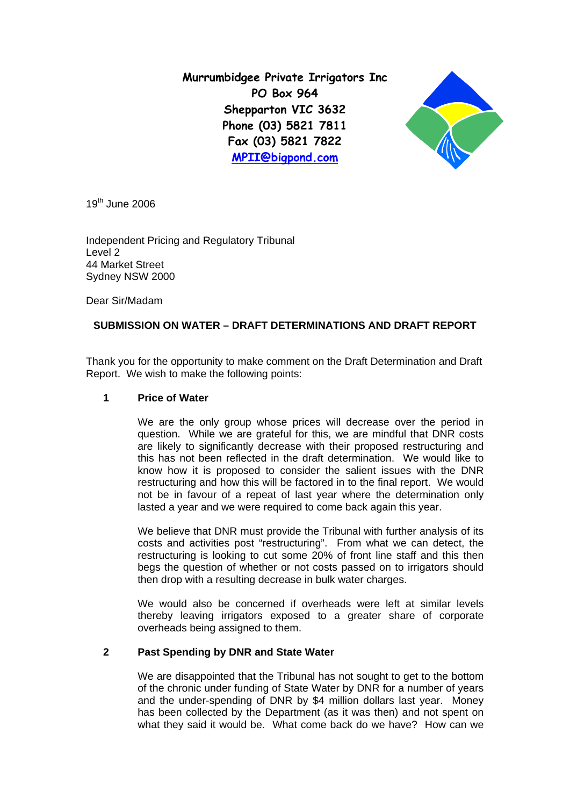**Murrumbidgee Private Irrigators Inc PO Box 964 Shepparton VIC 3632 Phone (03) 5821 7811 Fax (03) 5821 7822 [MPII@bigpond.com](mailto:MPII@bigpond.com)**



19th June 2006

Independent Pricing and Regulatory Tribunal Level 2 44 Market Street Sydney NSW 2000

Dear Sir/Madam

# **SUBMISSION ON WATER – DRAFT DETERMINATIONS AND DRAFT REPORT**

Thank you for the opportunity to make comment on the Draft Determination and Draft Report. We wish to make the following points:

#### **1 Price of Water**

We are the only group whose prices will decrease over the period in question. While we are grateful for this, we are mindful that DNR costs are likely to significantly decrease with their proposed restructuring and this has not been reflected in the draft determination. We would like to know how it is proposed to consider the salient issues with the DNR restructuring and how this will be factored in to the final report. We would not be in favour of a repeat of last year where the determination only lasted a year and we were required to come back again this year.

We believe that DNR must provide the Tribunal with further analysis of its costs and activities post "restructuring". From what we can detect, the restructuring is looking to cut some 20% of front line staff and this then begs the question of whether or not costs passed on to irrigators should then drop with a resulting decrease in bulk water charges.

We would also be concerned if overheads were left at similar levels thereby leaving irrigators exposed to a greater share of corporate overheads being assigned to them.

## **2 Past Spending by DNR and State Water**

We are disappointed that the Tribunal has not sought to get to the bottom of the chronic under funding of State Water by DNR for a number of years and the under-spending of DNR by \$4 million dollars last year. Money has been collected by the Department (as it was then) and not spent on what they said it would be. What come back do we have? How can we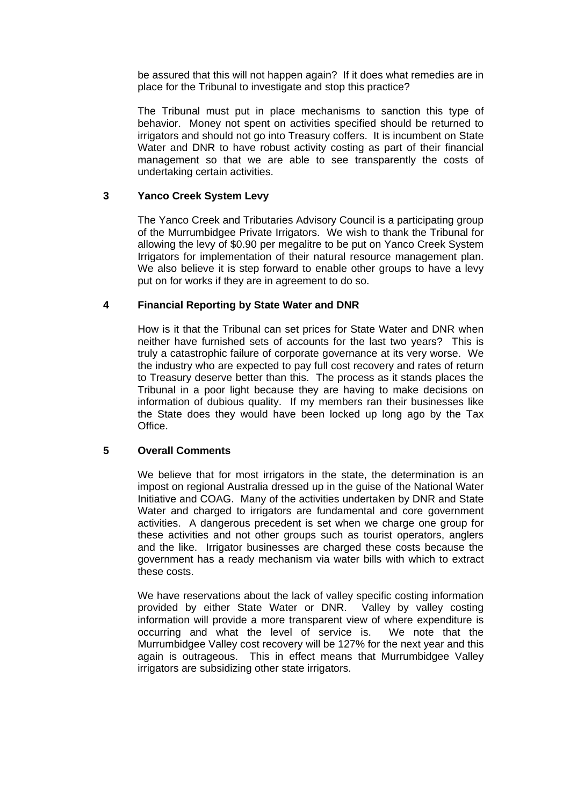be assured that this will not happen again? If it does what remedies are in place for the Tribunal to investigate and stop this practice?

The Tribunal must put in place mechanisms to sanction this type of behavior. Money not spent on activities specified should be returned to irrigators and should not go into Treasury coffers. It is incumbent on State Water and DNR to have robust activity costing as part of their financial management so that we are able to see transparently the costs of undertaking certain activities.

## **3 Yanco Creek System Levy**

The Yanco Creek and Tributaries Advisory Council is a participating group of the Murrumbidgee Private Irrigators. We wish to thank the Tribunal for allowing the levy of \$0.90 per megalitre to be put on Yanco Creek System Irrigators for implementation of their natural resource management plan. We also believe it is step forward to enable other groups to have a levy put on for works if they are in agreement to do so.

## **4 Financial Reporting by State Water and DNR**

How is it that the Tribunal can set prices for State Water and DNR when neither have furnished sets of accounts for the last two years? This is truly a catastrophic failure of corporate governance at its very worse. We the industry who are expected to pay full cost recovery and rates of return to Treasury deserve better than this. The process as it stands places the Tribunal in a poor light because they are having to make decisions on information of dubious quality. If my members ran their businesses like the State does they would have been locked up long ago by the Tax Office.

## **5 Overall Comments**

We believe that for most irrigators in the state, the determination is an impost on regional Australia dressed up in the guise of the National Water Initiative and COAG. Many of the activities undertaken by DNR and State Water and charged to irrigators are fundamental and core government activities. A dangerous precedent is set when we charge one group for these activities and not other groups such as tourist operators, anglers and the like. Irrigator businesses are charged these costs because the government has a ready mechanism via water bills with which to extract these costs.

We have reservations about the lack of valley specific costing information provided by either State Water or DNR. Valley by valley costing information will provide a more transparent view of where expenditure is occurring and what the level of service is. We note that the Murrumbidgee Valley cost recovery will be 127% for the next year and this again is outrageous. This in effect means that Murrumbidgee Valley irrigators are subsidizing other state irrigators.